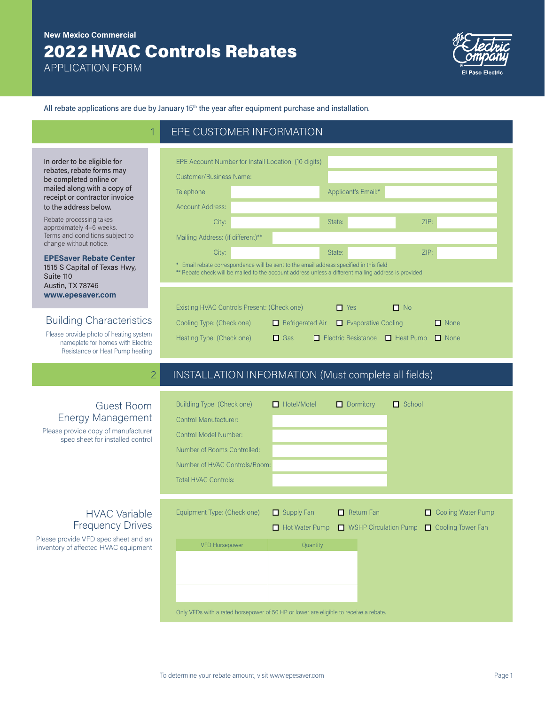# 2022 HVAC Controls Rebates **New Mexico Commercial**

APPLICATION FORM



All rebate applications are due by January 15<sup>th</sup> the year after equipment purchase and installation.

EPE CUSTOMER INFORMATION

| Applicant's Email:*<br>Telephone:<br><b>Account Address:</b><br>ZIP:<br>State:<br>City:<br>Mailing Address: (if different)**<br>ZIP:<br>City:<br>State:<br>* Email rebate correspondence will be sent to the email address specified in this field<br>** Rebate check will be mailed to the account address unless a different mailing address is provided<br>$\Box$ No<br>Existing HVAC Controls Present: (Check one)<br>$\Box$ Yes<br>$\Box$ Refrigerated Air $\Box$ Evaporative Cooling<br>$\Box$ None<br>Cooling Type: (Check one) | <b>Customer/Business Name:</b> |  |  |  |  |  |
|----------------------------------------------------------------------------------------------------------------------------------------------------------------------------------------------------------------------------------------------------------------------------------------------------------------------------------------------------------------------------------------------------------------------------------------------------------------------------------------------------------------------------------------|--------------------------------|--|--|--|--|--|
|                                                                                                                                                                                                                                                                                                                                                                                                                                                                                                                                        |                                |  |  |  |  |  |
|                                                                                                                                                                                                                                                                                                                                                                                                                                                                                                                                        |                                |  |  |  |  |  |
|                                                                                                                                                                                                                                                                                                                                                                                                                                                                                                                                        |                                |  |  |  |  |  |
|                                                                                                                                                                                                                                                                                                                                                                                                                                                                                                                                        |                                |  |  |  |  |  |
|                                                                                                                                                                                                                                                                                                                                                                                                                                                                                                                                        |                                |  |  |  |  |  |
|                                                                                                                                                                                                                                                                                                                                                                                                                                                                                                                                        |                                |  |  |  |  |  |
|                                                                                                                                                                                                                                                                                                                                                                                                                                                                                                                                        |                                |  |  |  |  |  |
|                                                                                                                                                                                                                                                                                                                                                                                                                                                                                                                                        |                                |  |  |  |  |  |
|                                                                                                                                                                                                                                                                                                                                                                                                                                                                                                                                        |                                |  |  |  |  |  |

## 2 INSTALLATION INFORMATION (Must complete all fields)

| <b>Guest Room</b><br><b>Energy Management</b><br>Please provide copy of manufacturer<br>spec sheet for installed control        | Building Type: (Check one)<br><b>Control Manufacturer:</b><br>Control Model Number:<br>Number of Rooms Controlled:<br>Number of HVAC Controls/Room:<br><b>Total HVAC Controls:</b> | $\Box$ Hotel/Motel                                     | $\Box$ Dormitory                           | $\Box$ School                           |
|---------------------------------------------------------------------------------------------------------------------------------|------------------------------------------------------------------------------------------------------------------------------------------------------------------------------------|--------------------------------------------------------|--------------------------------------------|-----------------------------------------|
| <b>HVAC Variable</b><br><b>Frequency Drives</b><br>Please provide VFD spec sheet and an<br>inventory of affected HVAC equipment | Equipment Type: (Check one)<br><b>VFD Horsepower</b><br>Only VFDs with a rated horsepower of 50 HP or lower are eligible to receive a rebate.                                      | $\Box$ Supply Fan<br>$\Box$ Hot Water Pump<br>Quantity | $\Box$ Return Fan<br>WSHP Circulation Pump | Cooling Water Pump<br>Cooling Tower Fan |

In order to be eligible for rebates, rebate forms may be completed online or mailed along with a copy of receipt or contractor invoice to the address below.

Rebate processing takes approximately 4–6 weeks. Terms and conditions subject to change without notice.

**EPESaver Rebate Center**  1515 S Capital of Texas Hwy, Suite 110 Austin, TX 78746 **www.epesaver.com**

### Building Characteristics

Please provide photo of heating system nameplate for homes with Electric Resistance or Heat Pump heating